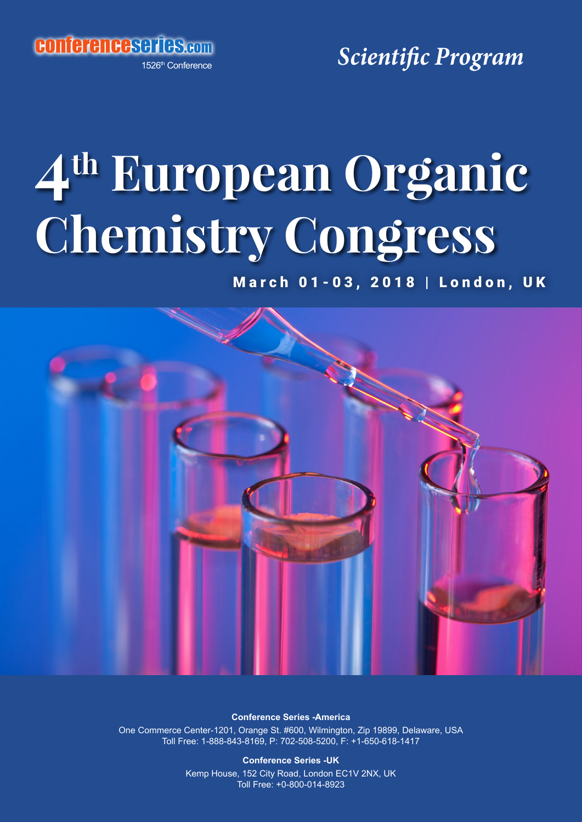conferenceseries.com

1526th Conference

*Scientific Program*

# **4th European Organic Chemistry Congress**

March 01-03, 2018 | London, UK



**Conference Series -America** One Commerce Center-1201, Orange St. #600, Wilmington, Zip 19899, Delaware, USA Toll Free: 1-888-843-8169, P: 702-508-5200, F: +1-650-618-1417

> **Conference Series -UK** Kemp House, 152 City Road, London EC1V 2NX, UK Toll Free: +0-800-014-8923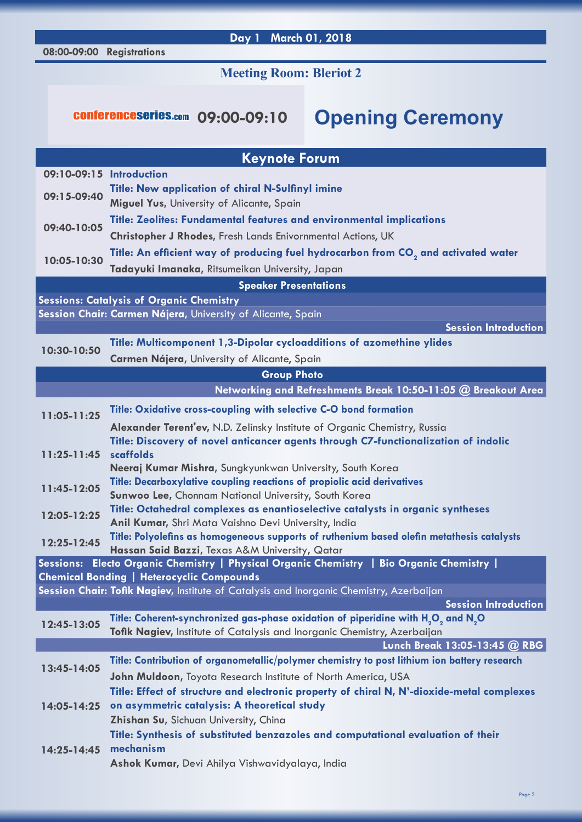### **08:00-09:00 Registrations**

# **Day 1 March 01, 2018**

# **Meeting Room: Bleriot 2**

# conferenceseries.com **09:00-09:10 Opening Ceremony**

| <b>Keynote Forum</b>                                                                                           |                                                                                                                                                |  |
|----------------------------------------------------------------------------------------------------------------|------------------------------------------------------------------------------------------------------------------------------------------------|--|
| 09:10-09:15 Introduction                                                                                       |                                                                                                                                                |  |
| 09:15-09:40                                                                                                    | <b>Title: New application of chiral N-Sulfinyl imine</b>                                                                                       |  |
|                                                                                                                | Miguel Yus, University of Alicante, Spain                                                                                                      |  |
| 09:40-10:05                                                                                                    | <b>Title: Zeolites: Fundamental features and environmental implications</b>                                                                    |  |
|                                                                                                                | Christopher J Rhodes, Fresh Lands Enivornmental Actions, UK                                                                                    |  |
| 10:05-10:30                                                                                                    | Title: An efficient way of producing fuel hydrocarbon from CO <sub>2</sub> and activated water                                                 |  |
|                                                                                                                | Tadayuki Imanaka, Ritsumeikan University, Japan<br><b>Speaker Presentations</b>                                                                |  |
|                                                                                                                |                                                                                                                                                |  |
| <b>Sessions: Catalysis of Organic Chemistry</b><br>Session Chair: Carmen Nájera, University of Alicante, Spain |                                                                                                                                                |  |
|                                                                                                                | <b>Session Introduction</b>                                                                                                                    |  |
|                                                                                                                | Title: Multicomponent 1,3-Dipolar cycloadditions of azomethine ylides                                                                          |  |
| 10:30-10:50                                                                                                    | Carmen Nájera, University of Alicante, Spain                                                                                                   |  |
|                                                                                                                | <b>Group Photo</b>                                                                                                                             |  |
|                                                                                                                | Networking and Refreshments Break 10:50-11:05 @ Breakout Area                                                                                  |  |
| 11:05-11:25                                                                                                    | Title: Oxidative cross-coupling with selective C-O bond formation                                                                              |  |
|                                                                                                                | Alexander Terent'ev, N.D. Zelinsky Institute of Organic Chemistry, Russia                                                                      |  |
|                                                                                                                | Title: Discovery of novel anticancer agents through C7-functionalization of indolic                                                            |  |
| $11:25 - 11:45$                                                                                                | scaffolds                                                                                                                                      |  |
|                                                                                                                | Neeraj Kumar Mishra, Sungkyunkwan University, South Korea                                                                                      |  |
| 11:45-12:05                                                                                                    | Title: Decarboxylative coupling reactions of propiolic acid derivatives                                                                        |  |
|                                                                                                                | Sunwoo Lee, Chonnam National University, South Korea                                                                                           |  |
| 12:05-12:25                                                                                                    | Title: Octahedral complexes as enantioselective catalysts in organic syntheses<br>Anil Kumar, Shri Mata Vaishno Devi University, India         |  |
| 12:25-12:45                                                                                                    | Title: Polyolefins as homogeneous supports of ruthenium based olefin metathesis catalysts                                                      |  |
|                                                                                                                | Hassan Said Bazzi, Texas A&M University, Qatar                                                                                                 |  |
|                                                                                                                | Sessions: Electo Organic Chemistry   Physical Organic Chemistry   Bio Organic Chemistry                                                        |  |
|                                                                                                                | <b>Chemical Bonding   Heterocyclic Compounds</b>                                                                                               |  |
|                                                                                                                | Session Chair: Tofik Nagiev, Institute of Catalysis and Inorganic Chemistry, Azerbaijan                                                        |  |
| 12:45-13:05                                                                                                    | Session Introduction<br>Title: Coherent-synchronized gas-phase oxidation of piperidine with H <sub>2</sub> O <sub>2</sub> and N <sub>2</sub> O |  |
|                                                                                                                | Tofik Nagiev, Institute of Catalysis and Inorganic Chemistry, Azerbaijan                                                                       |  |
|                                                                                                                | Lunch Break 13:05-13:45 @ RBG                                                                                                                  |  |
|                                                                                                                | Title: Contribution of organometallic/polymer chemistry to post lithium ion battery research                                                   |  |
| 13:45-14:05                                                                                                    | John Muldoon, Toyota Research Institute of North America, USA                                                                                  |  |
|                                                                                                                | Title: Effect of structure and electronic property of chiral N, N'-dioxide-metal complexes                                                     |  |
| 14:05-14:25                                                                                                    | on asymmetric catalysis: A theoretical study                                                                                                   |  |
|                                                                                                                | Zhishan Su, Sichuan University, China                                                                                                          |  |
| $14:25 - 14:45$                                                                                                | Title: Synthesis of substituted benzazoles and computational evaluation of their                                                               |  |
|                                                                                                                | mechanism                                                                                                                                      |  |
|                                                                                                                | Ashok Kumar, Devi Ahilya Vishwavidyalaya, India                                                                                                |  |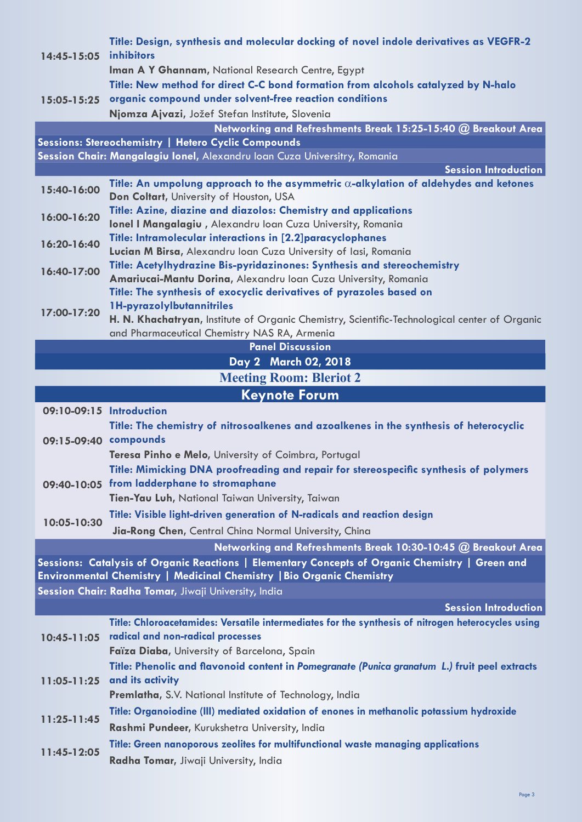| 14:45-15:05              | Title: Design, synthesis and molecular docking of novel indole derivatives as VEGFR-2<br>inhibitors                                                                             |
|--------------------------|---------------------------------------------------------------------------------------------------------------------------------------------------------------------------------|
|                          | Iman A Y Ghannam, National Research Centre, Egypt                                                                                                                               |
|                          | Title: New method for direct C-C bond formation from alcohols catalyzed by N-halo                                                                                               |
| 15:05-15:25              | organic compound under solvent-free reaction conditions                                                                                                                         |
|                          | Njomza Ajvazi, Jožef Stefan Institute, Slovenia                                                                                                                                 |
|                          | Networking and Refreshments Break 15:25-15:40 @ Breakout Area                                                                                                                   |
|                          | Sessions: Stereochemistry   Hetero Cyclic Compounds                                                                                                                             |
|                          | Session Chair: Mangalagiu Ionel, Alexandru Ioan Cuza Universitry, Romania                                                                                                       |
|                          | <b>Session Introduction</b>                                                                                                                                                     |
| 15:40-16:00              | Title: An umpolung approach to the asymmetric $\alpha$ -alkylation of aldehydes and ketones<br>Don Coltart, University of Houston, USA                                          |
|                          | Title: Azine, diazine and diazolos: Chemistry and applications                                                                                                                  |
| 16:00-16:20              | Ionel I Mangalagiu, Alexandru Ioan Cuza University, Romania                                                                                                                     |
| 16:20-16:40              | Title: Intramolecular interactions in [2.2]paracyclophanes                                                                                                                      |
|                          | Lucian M Birsa, Alexandru Ioan Cuza University of Iasi, Romania                                                                                                                 |
| 16:40-17:00              | Title: Acetylhydrazine Bis-pyridazinones: Synthesis and stereochemistry                                                                                                         |
|                          | Amariucai-Mantu Dorina, Alexandru Ioan Cuza University, Romania                                                                                                                 |
|                          | Title: The synthesis of exocyclic derivatives of pyrazoles based on                                                                                                             |
| 17:00-17:20              | 1H-pyrazolylbutannitriles                                                                                                                                                       |
|                          | H. N. Khachatryan, Institute of Organic Chemistry, Scientific-Technological center of Organic                                                                                   |
|                          | and Pharmaceutical Chemistry NAS RA, Armenia<br><b>Panel Discussion</b>                                                                                                         |
|                          | Day 2 March 02, 2018                                                                                                                                                            |
|                          | <b>Meeting Room: Bleriot 2</b>                                                                                                                                                  |
|                          | <b>Keynote Forum</b>                                                                                                                                                            |
| 09:10-09:15 Introduction |                                                                                                                                                                                 |
|                          | Title: The chemistry of nitrosoalkenes and azoalkenes in the synthesis of heterocyclic                                                                                          |
| 09:15-09:40 compounds    |                                                                                                                                                                                 |
|                          | Teresa Pinho e Melo, University of Coimbra, Portugal                                                                                                                            |
|                          |                                                                                                                                                                                 |
|                          |                                                                                                                                                                                 |
| 09:40-10:05              | Title: Mimicking DNA proofreading and repair for stereospecific synthesis of polymers<br>from ladderphane to stromaphane                                                        |
|                          | Tien-Yau Luh, National Taiwan University, Taiwan                                                                                                                                |
|                          | Title: Visible light-driven generation of N-radicals and reaction design                                                                                                        |
| 10:05-10:30              |                                                                                                                                                                                 |
|                          | Jia-Rong Chen, Central China Normal University, China                                                                                                                           |
|                          | Networking and Refreshments Break 10:30-10:45 @ Breakout Area                                                                                                                   |
|                          | Sessions: Catalysis of Organic Reactions   Elementary Concepts of Organic Chemistry   Green and<br><b>Environmental Chemistry   Medicinal Chemistry   Bio Organic Chemistry</b> |
|                          | Session Chair: Radha Tomar, Jiwaji University, India                                                                                                                            |
|                          | <b>Session Introduction</b>                                                                                                                                                     |
|                          | Title: Chloroacetamides: Versatile intermediates for the synthesis of nitrogen heterocycles using                                                                               |
| 10:45-11:05              | radical and non-radical processes                                                                                                                                               |
|                          | Faïza Diaba, University of Barcelona, Spain                                                                                                                                     |
|                          | Title: Phenolic and flavonoid content in Pomegranate (Punica granatum L.) fruit peel extracts                                                                                   |
| $11:05 - 11:25$          | and its activity                                                                                                                                                                |
|                          | Premlatha, S.V. National Institute of Technology, India                                                                                                                         |
|                          | Title: Organoiodine (III) mediated oxidation of enones in methanolic potassium hydroxide                                                                                        |
| $11:25 - 11:45$          | Rashmi Pundeer, Kurukshetra University, India                                                                                                                                   |
| 11:45-12:05              | Title: Green nanoporous zeolites for multifunctional waste managing applications                                                                                                |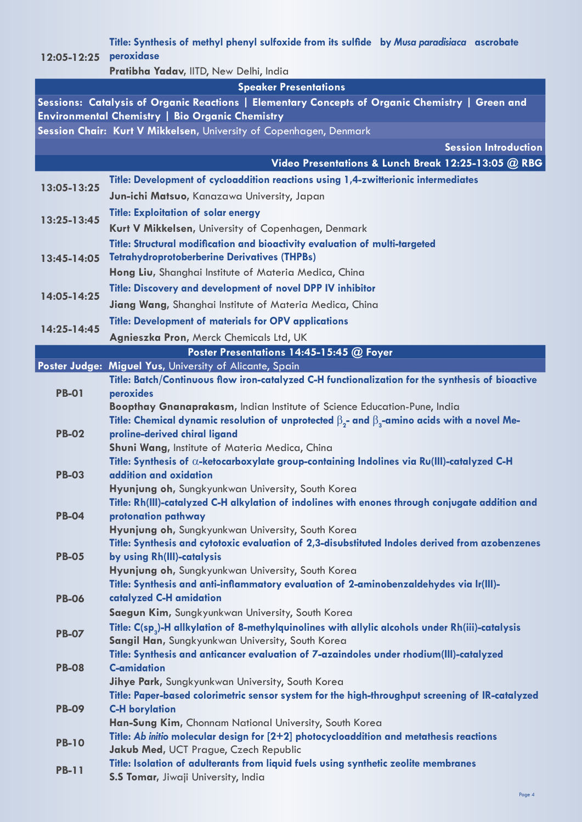## **12:05-12:25 peroxidase Title: Synthesis of methyl phenyl sulfoxide from its sulfide by** *Musa paradisiaca* **ascrobate**

**Pratibha Yadav,** IITD, New Delhi, India

### **Speaker Presentations**

**Sessions: Catalysis of Organic Reactions | Elementary Concepts of Organic Chemistry | Green and Environmental Chemistry | Bio Organic Chemistry Session Chair: Kurt V Mikkelsen,** University of Copenhagen, Denmark

|              | <b>Session Introduction</b>                                                                                                                 |
|--------------|---------------------------------------------------------------------------------------------------------------------------------------------|
|              | Video Presentations & Lunch Break 12:25-13:05 @ RBG                                                                                         |
| 13:05-13:25  | Title: Development of cycloaddition reactions using 1,4-zwitterionic intermediates                                                          |
|              | Jun-ichi Matsuo, Kanazawa University, Japan                                                                                                 |
|              | <b>Title: Exploitation of solar energy</b>                                                                                                  |
| 13:25-13:45  | Kurt V Mikkelsen, University of Copenhagen, Denmark                                                                                         |
| 13:45-14:05  | Title: Structural modification and bioactivity evaluation of multi-targeted                                                                 |
|              | <b>Tetrahydroprotoberberine Derivatives (THPBs)</b>                                                                                         |
|              | Hong Liu, Shanghai Institute of Materia Medica, China                                                                                       |
| 14:05-14:25  | Title: Discovery and development of novel DPP IV inhibitor                                                                                  |
|              | Jiang Wang, Shanghai Institute of Materia Medica, China                                                                                     |
| 14:25-14:45  | <b>Title: Development of materials for OPV applications</b>                                                                                 |
|              | Agnieszka Pron, Merck Chemicals Ltd, UK                                                                                                     |
|              | Poster Presentations 14:45-15:45 @ Foyer                                                                                                    |
|              | Poster Judge: Miguel Yus, University of Alicante, Spain                                                                                     |
|              | Title: Batch/Continuous flow iron-catalyzed C-H functionalization for the synthesis of bioactive                                            |
| <b>PB-01</b> | peroxides                                                                                                                                   |
|              | Boopthay Gnanaprakasm, Indian Institute of Science Education-Pune, India                                                                    |
| <b>PB-02</b> | Title: Chemical dynamic resolution of unprotected $\beta_2$ - and $\beta_3$ -amino acids with a novel Me-<br>proline-derived chiral ligand  |
|              | Shuni Wang, Institute of Materia Medica, China                                                                                              |
|              | Title: Synthesis of $\alpha$ -ketocarboxylate group-containing Indolines via Ru(III)-catalyzed C-H                                          |
| <b>PB-03</b> | addition and oxidation                                                                                                                      |
|              | Hyunjung oh, Sungkyunkwan University, South Korea                                                                                           |
|              | Title: Rh(III)-catalyzed C-H alkylation of indolines with enones through conjugate addition and                                             |
| <b>PB-04</b> | protonation pathway<br>Hyunjung oh, Sungkyunkwan University, South Korea                                                                    |
|              | Title: Synthesis and cytotoxic evaluation of 2,3-disubstituted Indoles derived from azobenzenes                                             |
| <b>PB-05</b> | by using Rh(III)-catalysis                                                                                                                  |
|              | Hyunjung oh, Sungkyunkwan University, South Korea                                                                                           |
|              | Title: Synthesis and anti-inflammatory evaluation of 2-aminobenzaldehydes via Ir(III)-                                                      |
| <b>PB-06</b> | catalyzed C-H amidation                                                                                                                     |
|              | Saegun Kim, Sungkyunkwan University, South Korea                                                                                            |
| <b>PB-07</b> | Title: C(sp <sub>3</sub> )-H allkylation of 8-methylquinolines with allylic alcohols under Rh(iii)-catalysis                                |
|              | Sangil Han, Sungkyunkwan University, South Korea<br>Title: Synthesis and anticancer evaluation of 7-azaindoles under rhodium(III)-catalyzed |
| <b>PB-08</b> | <b>C-amidation</b>                                                                                                                          |
|              | Jihye Park, Sungkyunkwan University, South Korea                                                                                            |
|              | Title: Paper-based colorimetric sensor system for the high-throughput screening of IR-catalyzed                                             |
| <b>PB-09</b> | <b>C-H borylation</b>                                                                                                                       |
|              | Han-Sung Kim, Chonnam National University, South Korea                                                                                      |
| <b>PB-10</b> | Title: Ab initio molecular design for $[2+2]$ photocycloaddition and metathesis reactions                                                   |
|              | Jakub Med, UCT Prague, Czech Republic<br>Title: Isolation of adulterants from liquid fuels using synthetic zeolite membranes                |
| <b>PB-11</b> | <b>S.S Tomar, Jiwaji University, India</b>                                                                                                  |